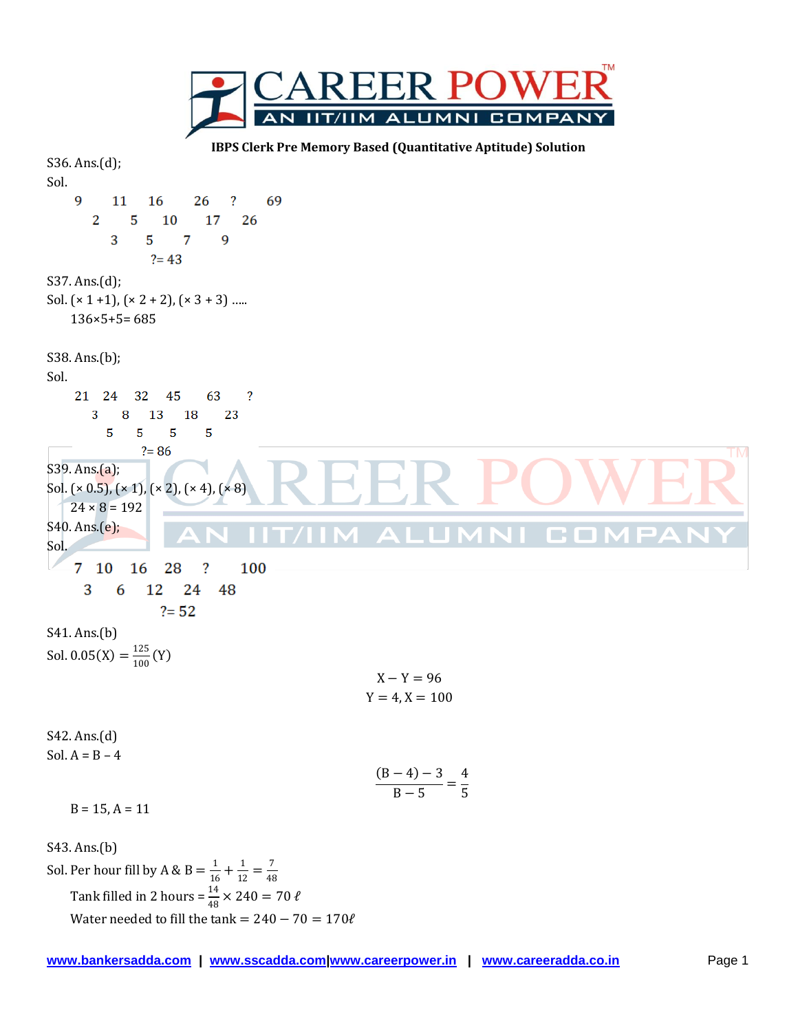



$$
B = 15, A = 11
$$

S43. Ans.(b) Sol. Per hour fill by A & B =  $\frac{1}{10}$  $\frac{1}{16} + \frac{1}{12}$  $\frac{1}{12} = \frac{7}{48}$ 48 Tank filled in 2 hours =  $\frac{14}{48} \times 240 = 70 \text{ }\ell$ Water needed to fill the tank =  $240 - 70 = 170$   $\ell$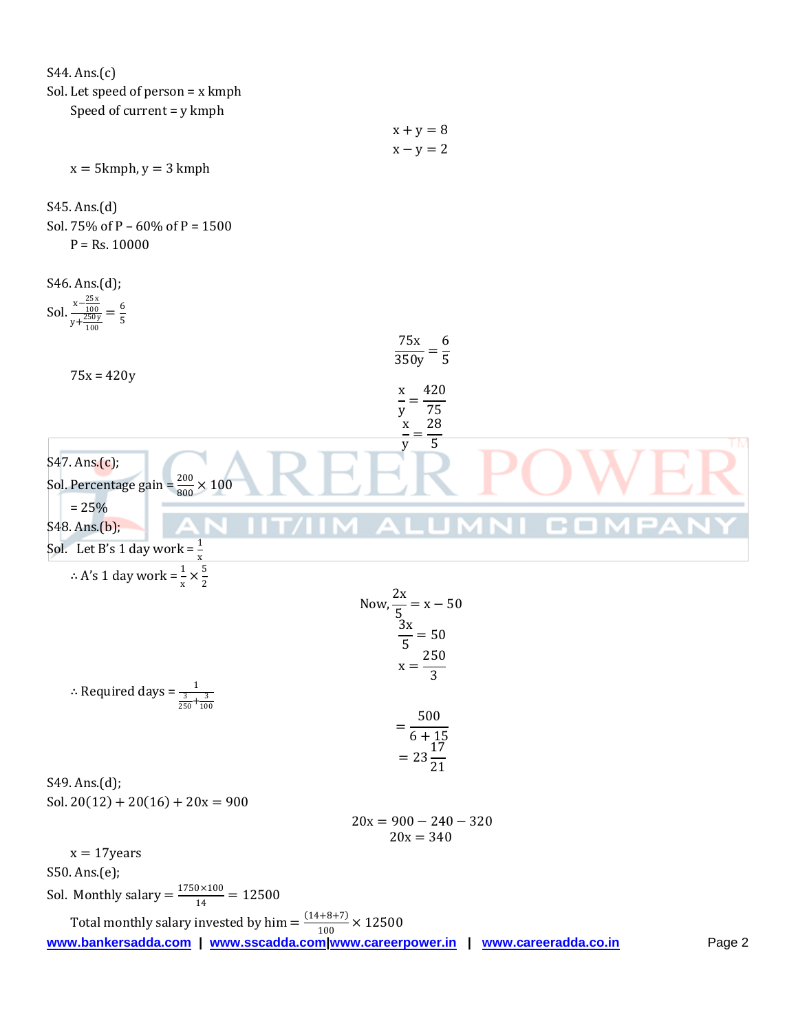S44. Ans.(c)

Sol. Let speed of person = x kmph

Speed of current = y kmph

$$
x + y = 8
$$

$$
x - y = 2
$$

 $x = 5$  kmph,  $y = 3$  kmph

S45. Ans.(d)

Sol. 75% of P – 60% of P = 1500  $P = Rs. 10000$ 

S46. Ans.(d); Sol.  $\frac{x-\frac{25x}{100}}{250}$  $=\frac{6}{5}$ 100  $y + \frac{250y}{100}$ 5 100 75x 6  $\frac{150}{350y} =$ 5  $75x = 420y$ x 420 —<br>y = 75 x 28  $\frac{1}{y}$  = **TM** 5 S47. Ans.(c); Sol. Percentage gain =  $\frac{200}{800} \times 100$  $= 25%$ S48. Ans.(b); Sol. Let B's 1 day work =  $\frac{1}{x}$ ∴ A's 1 day work =  $\frac{1}{x}$   $\times \frac{5}{2}$ 2 2x Now,  $\frac{x}{5}$  = x – 50 3x  $\frac{x}{5}$  = 50 250  $x =$ 3 ∴ Required days =  $\frac{1}{\frac{3}{250} + \frac{3}{10}}$ 100 500 =  $6 + 15$ 17  $= 23$ 21 S49. Ans.(d); Sol.  $20(12) + 20(16) + 20x = 900$  $20x = 900 - 240 - 320$  $20x = 340$  $x = 17$ years S50. Ans.(e); Sol. Monthly salary  $=\frac{1750\times100}{14}$  $\frac{6 \times 100}{14} = 12500$ Total monthly salary invested by him =  $\frac{(14+8+7)}{100}$  $\frac{100}{100}$  × 12500 **www.bankersadda.com | www.sscadda.com|www.careerpower.in | www.careeradda.co.in** Page 2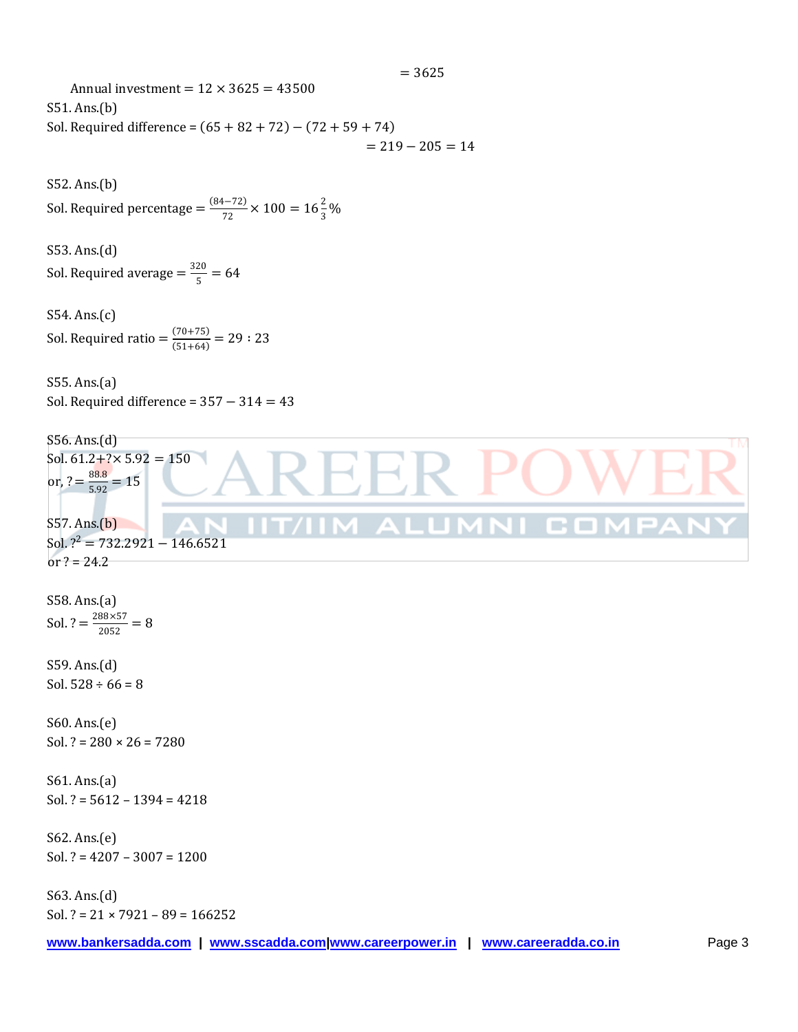Annual investment =  $12 \times 3625 = 43500$ S51. Ans.(b) Sol. Required difference =  $(65 + 82 + 72) - (72 + 59 + 74)$  $= 219 - 205 = 14$ 

S52. Ans.(b) Sol. Required percentage =  $\frac{(84-72)}{72}$  $\frac{1-72}{72}$  × 100 = 16 $\frac{2}{3}$ %

S53. Ans.(d) Sol. Required average  $=\frac{320}{5}$  $\frac{20}{5}$  = 64

S54. Ans.(c) Sol. Required ratio =  $\frac{(70+75)}{(51+(4))}$  $\frac{(10+13)}{(51+64)}$  = 29 : 23

S55. Ans.(a) Sol. Required difference =  $357 - 314 = 43$ 



 $= 3625$